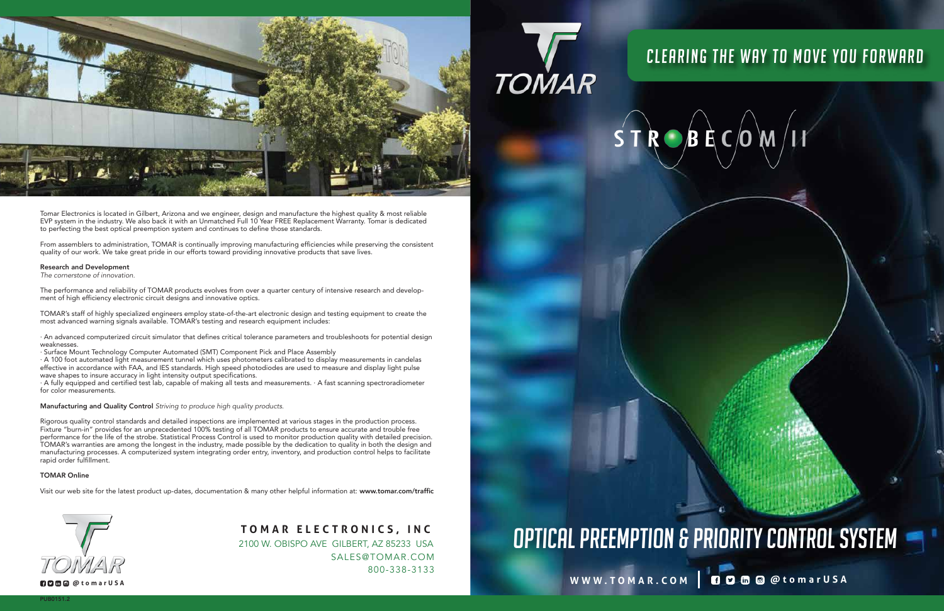## **W W W . T OMA R . C O M @toma r U S A**

## OPTICAL PREEMPTION & PRIORITY CONTROL SYSTEM **<sup>T</sup> <sup>O</sup> MAR ELECT <sup>R</sup> <sup>O</sup> N I <sup>C</sup> S, I <sup>N</sup> <sup>C</sup> OPTICAL PREEDING AND SERVICES, INC. TO MARE ELECTRONICS, INC. And SUPTICAL PREEMPTION & PRIORITY CONTROL SYSTEM**

**TOMAR** 

## CLEARING THE WAY TO MOVE YOU FORWARD CLEARING THE WAY TO MOVE YOU FORWARD

 $S T R$   $B$   $E$   $C$   $O$ 

SALES@TOMAR.COM 800-338-3133 2100 W. OBISPO AVE GILBERT, AZ 85233 USA



EVP system in the industry. We also back it with an Unmatched Full 10 Year FREE Replacement Warranty. Tomar is dedicated  $\sim$  or extension that constant  $\sim$  calculated and  $\sim$  constant audit and  $\sim$  constant audit and  $\sim$  constants. To perfecting the best optical measurement in system and continues to define these standards. to perfecting the best optical preemption system and continues to define those standards. Tomar Electronics is located in Gilbert, Arizona and we engineer, design and manufacture the highest quality & most reliable

quality of our work. We take great pride in our efforts toward providing innovative products that save lives. quality of our work. We take great pride in our efforts toward providing innovative products that save lives. From assemblers to administration, TOMAR is continually improving manufacturing efficiencies while preserving the consistent

ment of high efficiency electronic circuit designs and innovative optics. ment of high efficiency electronic circuit designs and innovative optics. The performance and reliability of TOMAR products evolves from over a quarter century of intensive research and develop-

most advanced warning signals available. TOMAR's testing and research equipment includes: most advanced warning signals available. TOMAR's testing and research equipment includes: TOMAR's staff of highly specialized engineers employ state-of-the-art electronic design and testing equipment to create the most advanced warning signals available. TOMAR's testing and research equipment includes:

 $\alpha$  weaknesses. That defines critical to that defines critical to  $\alpha$  and troubleshoots for potential design  $\alpha$ · An advanced computerized circuit simulator that defines critical tolerance parameters and troubleshoots for potential design weaknesses.

· Surface Mount Technology Computer Automated (SMT) Component Pick and Place Assembly

· A 100 foot automated light measurement tunnel which uses photometers calibrated to display measurements in candelas effective in accordance with FAA, and IES standards. High speed photodiodes are used to measure and display light pulse wave shapes to insure accuracy in light intensity output specifications.

 $\cdot$  A fully equipped and certified test lab, capable of making all tests and measurements.  $\cdot$  A fast scanning spectroradiometer for color measurements.  $\overline{a}$  fast scanning all tests and measurements spectroscanning spectroscanning spectroscanning spectroscanning spectroscanning spectroscanning spectroscanning spectroscanning spectroscanning spec

**WWW.TOMAR.COM @tomarUSA**



### Research and Development

The cornerstone of innovation.

Manufacturing and Quality Control *Striving to produce high quality products.* Fixture "burn-in" provides for an unprecedented 100% testing of all TOMAR products to ensure accurate and trouble free performance for the life of the strobe. Statistical Process Control is used to monitor production quality with detailed precision. TOMAR's warranties are among the longest in the industry, made possible by the dedication to quality in both the design and manufacturing processes. A computerized system integrating order entry, inventory, and production control helps to facilitate manufacturing processes integrating order entry, in ventory, in version control helps to facilitate system integration control helps to facilitate to facilitate to facilitate to facilitate the system of and production cont Rigorous quality control standards and detailed inspections are implemented at various stages in the production process. rapid order fulfillment.

### TOMAR Online

Visit our web site for the latest product up-dates, documentation & many other helpful information at: www.tomar.com/traffic

### Manufacturing and Quality Control *Striving to produce high quality products.*